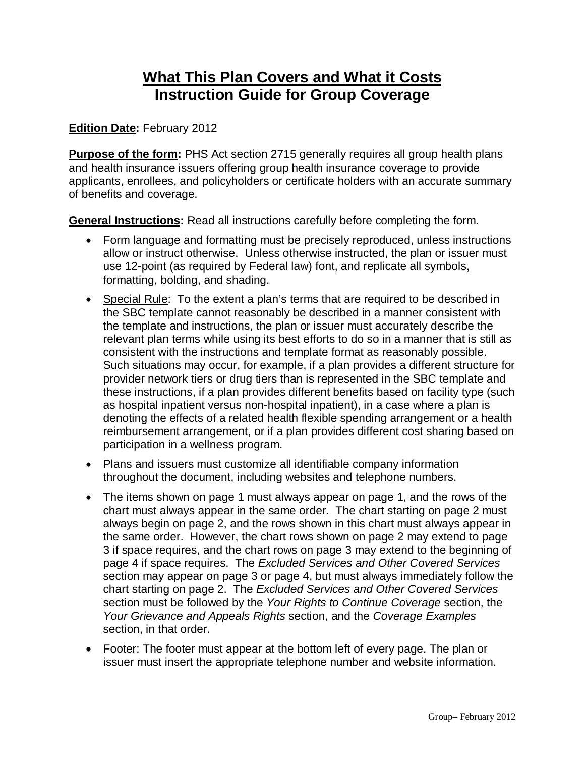# **What This Plan Covers and What it Costs Instruction Guide for Group Coverage**

### **Edition Date:** February 2012

**Purpose of the form:** PHS Act section 2715 generally requires all group health plans and health insurance issuers offering group health insurance coverage to provide applicants, enrollees, and policyholders or certificate holders with an accurate summary of benefits and coverage.

**General Instructions:** Read all instructions carefully before completing the form.

- Form language and formatting must be precisely reproduced, unless instructions allow or instruct otherwise. Unless otherwise instructed, the plan or issuer must use 12-point (as required by Federal law) font, and replicate all symbols, formatting, bolding, and shading.
- Special Rule: To the extent a plan's terms that are required to be described in the SBC template cannot reasonably be described in a manner consistent with the template and instructions, the plan or issuer must accurately describe the relevant plan terms while using its best efforts to do so in a manner that is still as consistent with the instructions and template format as reasonably possible. Such situations may occur, for example, if a plan provides a different structure for provider network tiers or drug tiers than is represented in the SBC template and these instructions, if a plan provides different benefits based on facility type (such as hospital inpatient versus non-hospital inpatient), in a case where a plan is denoting the effects of a related health flexible spending arrangement or a health reimbursement arrangement, or if a plan provides different cost sharing based on participation in a wellness program.
- Plans and issuers must customize all identifiable company information throughout the document, including websites and telephone numbers.
- The items shown on page 1 must always appear on page 1, and the rows of the chart must always appear in the same order. The chart starting on page 2 must always begin on page 2, and the rows shown in this chart must always appear in the same order. However, the chart rows shown on page 2 may extend to page 3 if space requires, and the chart rows on page 3 may extend to the beginning of page 4 if space requires. The *Excluded Services and Other Covered Services*  section may appear on page 3 or page 4, but must always immediately follow the chart starting on page 2. The *Excluded Services and Other Covered Services*  section must be followed by the *Your Rights to Continue Coverage* section, the *Your Grievance and Appeals Rights* section, and the *Coverage Examples* section, in that order.
- Footer: The footer must appear at the bottom left of every page. The plan or issuer must insert the appropriate telephone number and website information.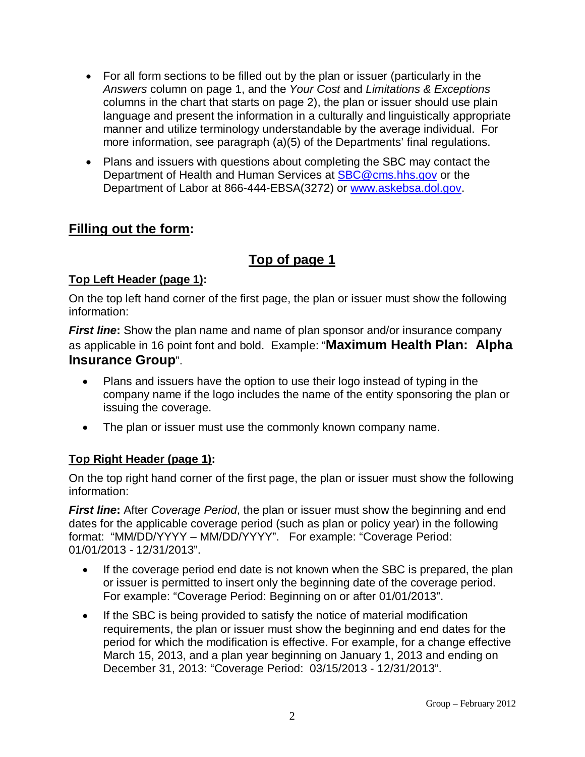- For all form sections to be filled out by the plan or issuer (particularly in the *Answers* column on page 1, and the *Your Cost* and *Limitations & Exceptions*  columns in the chart that starts on page 2), the plan or issuer should use plain language and present the information in a culturally and linguistically appropriate manner and utilize terminology understandable by the average individual. For more information, see paragraph (a)(5) of the Departments' final regulations.
- Plans and issuers with questions about completing the SBC may contact the Department of Health and Human Services at [SBC@cms.hhs.gov](mailto:SBC@cms.hhs.gov) or the Department of Labor at 866-444-EBSA(3272) or [www.askebsa.dol.gov.](http://www.askebsa.dol.gov/)

## **Filling out the form:**

# **Top of page 1**

## **Top Left Header (page 1):**

On the top left hand corner of the first page, the plan or issuer must show the following information:

*First line:* Show the plan name and name of plan sponsor and/or insurance company as applicable in 16 point font and bold. Example: "**Maximum Health Plan: Alpha Insurance Group**".

- Plans and issuers have the option to use their logo instead of typing in the company name if the logo includes the name of the entity sponsoring the plan or issuing the coverage.
- The plan or issuer must use the commonly known company name.

## **Top Right Header (page 1):**

On the top right hand corner of the first page, the plan or issuer must show the following information:

*First line***:** After *Coverage Period*, the plan or issuer must show the beginning and end dates for the applicable coverage period (such as plan or policy year) in the following format: "MM/DD/YYYY – MM/DD/YYYY". For example: "Coverage Period: 01/01/2013 - 12/31/2013".

- If the coverage period end date is not known when the SBC is prepared, the plan or issuer is permitted to insert only the beginning date of the coverage period. For example: "Coverage Period: Beginning on or after 01/01/2013".
- If the SBC is being provided to satisfy the notice of material modification requirements, the plan or issuer must show the beginning and end dates for the period for which the modification is effective. For example, for a change effective March 15, 2013, and a plan year beginning on January 1, 2013 and ending on December 31, 2013: "Coverage Period: 03/15/2013 - 12/31/2013".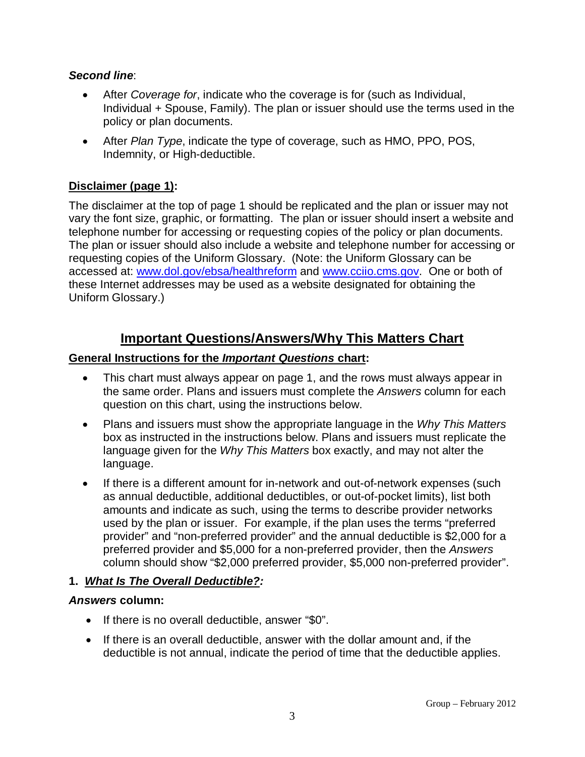### *Second line*:

- After *Coverage for*, indicate who the coverage is for (such as Individual, Individual + Spouse, Family). The plan or issuer should use the terms used in the policy or plan documents.
- After *Plan Type*, indicate the type of coverage, such as HMO, PPO, POS, Indemnity, or High-deductible.

## **Disclaimer (page 1):**

The disclaimer at the top of page 1 should be replicated and the plan or issuer may not vary the font size, graphic, or formatting. The plan or issuer should insert a website and telephone number for accessing or requesting copies of the policy or plan documents. The plan or issuer should also include a website and telephone number for accessing or requesting copies of the Uniform Glossary. (Note: the Uniform Glossary can be accessed at: [www.dol.gov/ebsa/healthreform](http://www.dol.gov/ebsa/healthreform) and [www.cciio.cms.gov.](http://www.cciio.cms.gov/) One or both of these Internet addresses may be used as a website designated for obtaining the Uniform Glossary.)

## **Important Questions/Answers/Why This Matters Chart**

### **General Instructions for the** *Important Questions* **chart:**

- This chart must always appear on page 1, and the rows must always appear in the same order. Plans and issuers must complete the *Answers* column for each question on this chart, using the instructions below.
- Plans and issuers must show the appropriate language in the *Why This Matters*  box as instructed in the instructions below. Plans and issuers must replicate the language given for the *Why This Matters* box exactly, and may not alter the language.
- If there is a different amount for in-network and out-of-network expenses (such as annual deductible, additional deductibles, or out-of-pocket limits), list both amounts and indicate as such, using the terms to describe provider networks used by the plan or issuer. For example, if the plan uses the terms "preferred provider" and "non-preferred provider" and the annual deductible is \$2,000 for a preferred provider and \$5,000 for a non-preferred provider, then the *Answers* column should show "\$2,000 preferred provider, \$5,000 non-preferred provider".

## **1.** *What Is The Overall Deductible?:*

#### *Answers* **column:**

- If there is no overall deductible, answer "\$0".
- If there is an overall deductible, answer with the dollar amount and, if the deductible is not annual, indicate the period of time that the deductible applies.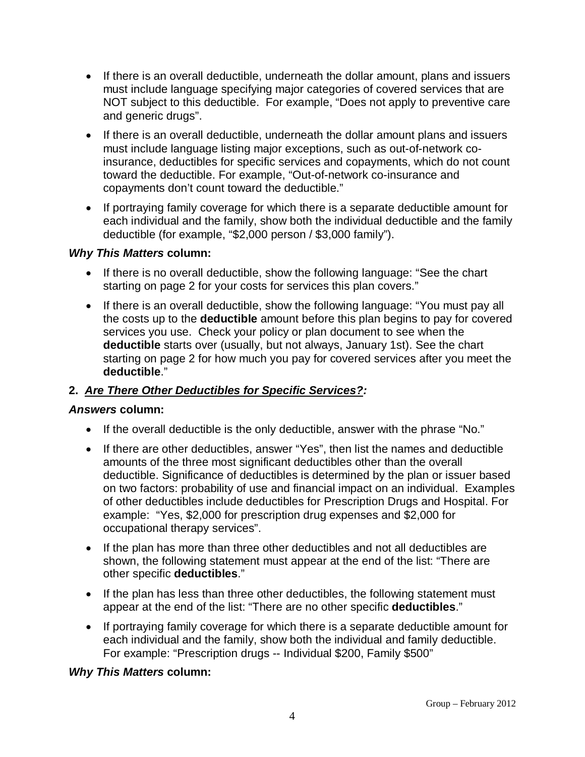- If there is an overall deductible, underneath the dollar amount, plans and issuers must include language specifying major categories of covered services that are NOT subject to this deductible. For example, "Does not apply to preventive care and generic drugs".
- If there is an overall deductible, underneath the dollar amount plans and issuers must include language listing major exceptions, such as out-of-network coinsurance, deductibles for specific services and copayments, which do not count toward the deductible. For example, "Out-of-network co-insurance and copayments don't count toward the deductible."
- If portraying family coverage for which there is a separate deductible amount for each individual and the family, show both the individual deductible and the family deductible (for example, "\$2,000 person / \$3,000 family").

### *Why This Matters* **column:**

- If there is no overall deductible, show the following language: "See the chart starting on page 2 for your costs for services this plan covers."
- If there is an overall deductible, show the following language: "You must pay all the costs up to the **deductible** amount before this plan begins to pay for covered services you use. Check your policy or plan document to see when the **deductible** starts over (usually, but not always, January 1st). See the chart starting on page 2 for how much you pay for covered services after you meet the **deductible**."

## **2.** *Are There Other Deductibles for Specific Services?:*

## *Answers* **column:**

- If the overall deductible is the only deductible, answer with the phrase "No."
- If there are other deductibles, answer "Yes", then list the names and deductible amounts of the three most significant deductibles other than the overall deductible. Significance of deductibles is determined by the plan or issuer based on two factors: probability of use and financial impact on an individual. Examples of other deductibles include deductibles for Prescription Drugs and Hospital. For example: "Yes, \$2,000 for prescription drug expenses and \$2,000 for occupational therapy services".
- If the plan has more than three other deductibles and not all deductibles are shown, the following statement must appear at the end of the list: "There are other specific **deductibles**."
- If the plan has less than three other deductibles, the following statement must appear at the end of the list: "There are no other specific **deductibles**."
- If portraying family coverage for which there is a separate deductible amount for each individual and the family, show both the individual and family deductible. For example: "Prescription drugs -- Individual \$200, Family \$500"

## *Why This Matters* **column:**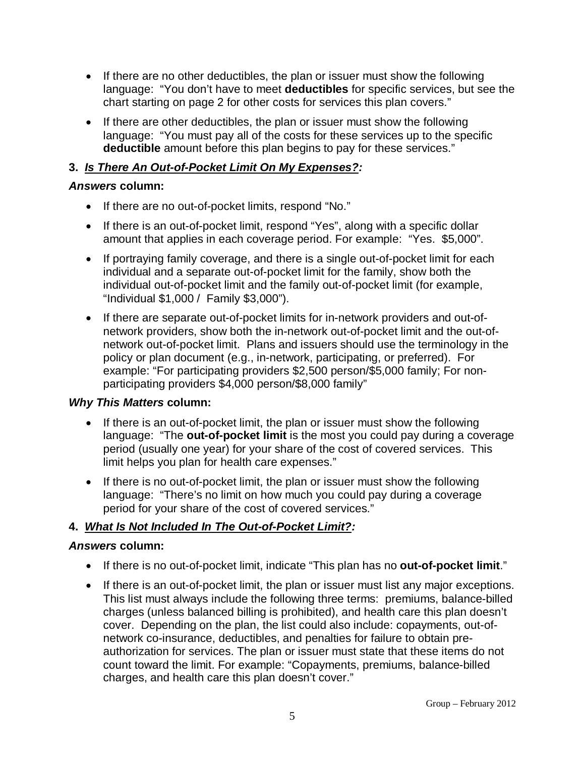- If there are no other deductibles, the plan or issuer must show the following language: "You don't have to meet **deductibles** for specific services, but see the chart starting on page 2 for other costs for services this plan covers."
- If there are other deductibles, the plan or issuer must show the following language: "You must pay all of the costs for these services up to the specific **deductible** amount before this plan begins to pay for these services."

## **3.** *Is There An Out-of-Pocket Limit On My Expenses?:*

### *Answers* **column:**

- If there are no out-of-pocket limits, respond "No."
- If there is an out-of-pocket limit, respond "Yes", along with a specific dollar amount that applies in each coverage period. For example: "Yes. \$5,000".
- If portraying family coverage, and there is a single out-of-pocket limit for each individual and a separate out-of-pocket limit for the family, show both the individual out-of-pocket limit and the family out-of-pocket limit (for example, "Individual \$1,000 / Family \$3,000").
- If there are separate out-of-pocket limits for in-network providers and out-ofnetwork providers, show both the in-network out-of-pocket limit and the out-ofnetwork out-of-pocket limit. Plans and issuers should use the terminology in the policy or plan document (e.g., in-network, participating, or preferred). For example: "For participating providers \$2,500 person/\$5,000 family; For nonparticipating providers \$4,000 person/\$8,000 family"

## *Why This Matters* **column:**

- If there is an out-of-pocket limit, the plan or issuer must show the following language: "The **out-of-pocket limit** is the most you could pay during a coverage period (usually one year) for your share of the cost of covered services. This limit helps you plan for health care expenses."
- If there is no out-of-pocket limit, the plan or issuer must show the following language: "There's no limit on how much you could pay during a coverage period for your share of the cost of covered services."

## **4.** *What Is Not Included In The Out-of-Pocket Limit?:*

#### *Answers* **column:**

- If there is no out-of-pocket limit, indicate "This plan has no **out-of-pocket limit**."
- If there is an out-of-pocket limit, the plan or issuer must list any major exceptions. This list must always include the following three terms: premiums, balance-billed charges (unless balanced billing is prohibited), and health care this plan doesn't cover. Depending on the plan, the list could also include: copayments, out-ofnetwork co-insurance, deductibles, and penalties for failure to obtain preauthorization for services. The plan or issuer must state that these items do not count toward the limit. For example: "Copayments, premiums, balance-billed charges, and health care this plan doesn't cover."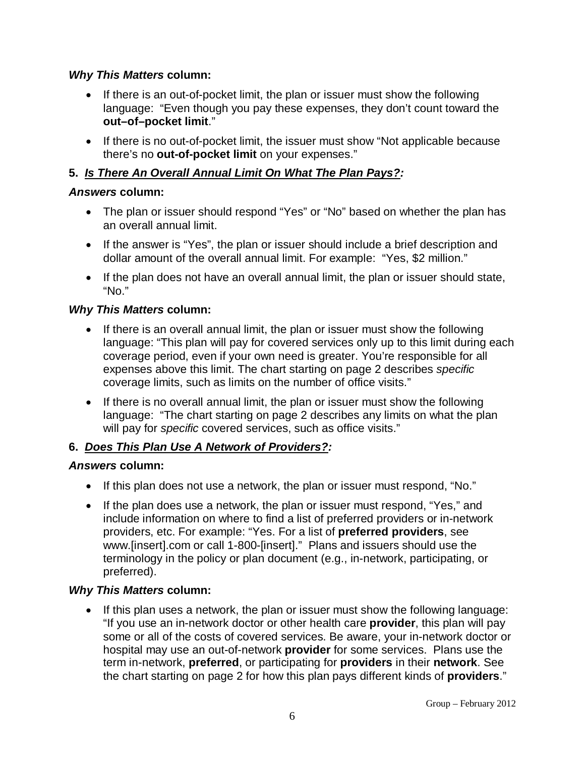### *Why This Matters* **column:**

- If there is an out-of-pocket limit, the plan or issuer must show the following language: "Even though you pay these expenses, they don't count toward the **out–of–pocket limit**."
- If there is no out-of-pocket limit, the issuer must show "Not applicable because there's no **out-of-pocket limit** on your expenses."

## **5.** *Is There An Overall Annual Limit On What The Plan Pays?:*

### *Answers* **column:**

- The plan or issuer should respond "Yes" or "No" based on whether the plan has an overall annual limit.
- If the answer is "Yes", the plan or issuer should include a brief description and dollar amount of the overall annual limit. For example: "Yes, \$2 million."
- If the plan does not have an overall annual limit, the plan or issuer should state, "No."

### *Why This Matters* **column:**

- If there is an overall annual limit, the plan or issuer must show the following language: "This plan will pay for covered services only up to this limit during each coverage period, even if your own need is greater. You're responsible for all expenses above this limit. The chart starting on page 2 describes *specific* coverage limits, such as limits on the number of office visits."
- If there is no overall annual limit, the plan or issuer must show the following language: "The chart starting on page 2 describes any limits on what the plan will pay for *specific* covered services, such as office visits."

## **6.** *Does This Plan Use A Network of Providers?:*

#### *Answers* **column:**

- If this plan does not use a network, the plan or issuer must respond, "No."
- If the plan does use a network, the plan or issuer must respond, "Yes," and include information on where to find a list of preferred providers or in-network providers, etc. For example: "Yes. For a list of **preferred providers**, see www.[insert].com or call 1-800-[insert]." Plans and issuers should use the terminology in the policy or plan document (e.g., in-network, participating, or preferred).

## *Why This Matters* **column:**

• If this plan uses a network, the plan or issuer must show the following language: "If you use an in-network doctor or other health care **provider**, this plan will pay some or all of the costs of covered services. Be aware, your in-network doctor or hospital may use an out-of-network **provider** for some services. Plans use the term in-network, **preferred**, or participating for **providers** in their **network**. See the chart starting on page 2 for how this plan pays different kinds of **providers**."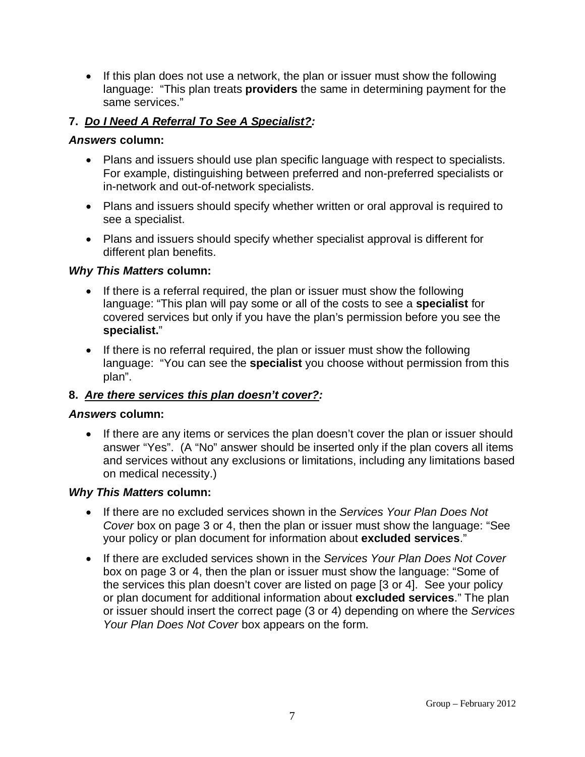• If this plan does not use a network, the plan or issuer must show the following language: "This plan treats **providers** the same in determining payment for the same services."

### **7.** *Do I Need A Referral To See A Specialist?:*

#### *Answers* **column:**

- Plans and issuers should use plan specific language with respect to specialists. For example, distinguishing between preferred and non-preferred specialists or in-network and out-of-network specialists.
- Plans and issuers should specify whether written or oral approval is required to see a specialist.
- Plans and issuers should specify whether specialist approval is different for different plan benefits.

#### *Why This Matters* **column:**

- If there is a referral required, the plan or issuer must show the following language: "This plan will pay some or all of the costs to see a **specialist** for covered services but only if you have the plan's permission before you see the **specialist.**"
- If there is no referral required, the plan or issuer must show the following language: "You can see the **specialist** you choose without permission from this plan".

#### **8.** *Are there services this plan doesn't cover?:*

#### *Answers* **column:**

• If there are any items or services the plan doesn't cover the plan or issuer should answer "Yes". (A "No" answer should be inserted only if the plan covers all items and services without any exclusions or limitations, including any limitations based on medical necessity.)

#### *Why This Matters* **column:**

- If there are no excluded services shown in the *Services Your Plan Does Not Cover* box on page 3 or 4, then the plan or issuer must show the language: "See your policy or plan document for information about **excluded services**."
- If there are excluded services shown in the *Services Your Plan Does Not Cover* box on page 3 or 4, then the plan or issuer must show the language: "Some of the services this plan doesn't cover are listed on page [3 or 4]. See your policy or plan document for additional information about **excluded services**." The plan or issuer should insert the correct page (3 or 4) depending on where the *Services Your Plan Does Not Cover* box appears on the form.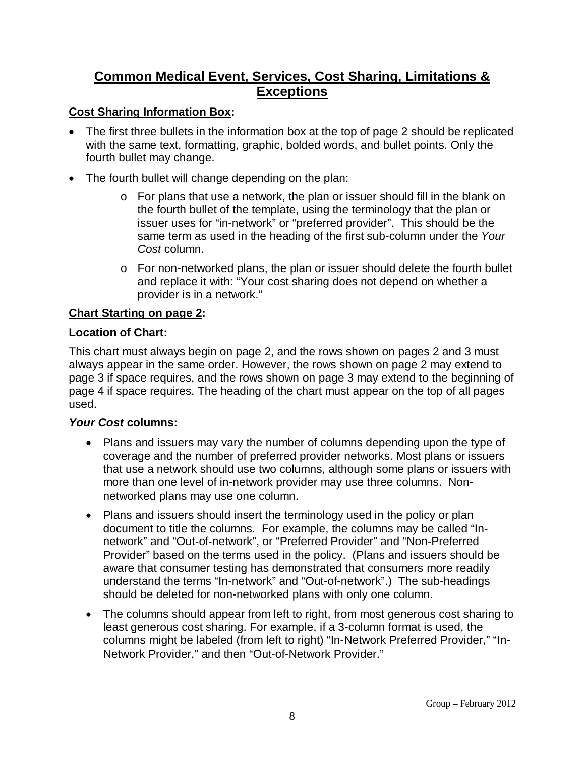## **Common Medical Event, Services, Cost Sharing, Limitations & Exceptions**

## **Cost Sharing Information Box:**

- The first three bullets in the information box at the top of page 2 should be replicated with the same text, formatting, graphic, bolded words, and bullet points. Only the fourth bullet may change.
- The fourth bullet will change depending on the plan:
	- $\circ$  For plans that use a network, the plan or issuer should fill in the blank on the fourth bullet of the template, using the terminology that the plan or issuer uses for "in-network" or "preferred provider". This should be the same term as used in the heading of the first sub-column under the *Your Cost* column.
	- o For non-networked plans, the plan or issuer should delete the fourth bullet and replace it with: "Your cost sharing does not depend on whether a provider is in a network."

#### **Chart Starting on page 2:**

#### **Location of Chart:**

This chart must always begin on page 2, and the rows shown on pages 2 and 3 must always appear in the same order. However, the rows shown on page 2 may extend to page 3 if space requires, and the rows shown on page 3 may extend to the beginning of page 4 if space requires. The heading of the chart must appear on the top of all pages used.

#### *Your Cost* **columns:**

- Plans and issuers may vary the number of columns depending upon the type of coverage and the number of preferred provider networks. Most plans or issuers that use a network should use two columns, although some plans or issuers with more than one level of in-network provider may use three columns. Nonnetworked plans may use one column.
- Plans and issuers should insert the terminology used in the policy or plan document to title the columns. For example, the columns may be called "Innetwork" and "Out-of-network", or "Preferred Provider" and "Non-Preferred Provider" based on the terms used in the policy. (Plans and issuers should be aware that consumer testing has demonstrated that consumers more readily understand the terms "In-network" and "Out-of-network".) The sub-headings should be deleted for non-networked plans with only one column.
- The columns should appear from left to right, from most generous cost sharing to least generous cost sharing. For example, if a 3-column format is used, the columns might be labeled (from left to right) "In-Network Preferred Provider," "In-Network Provider," and then "Out-of-Network Provider."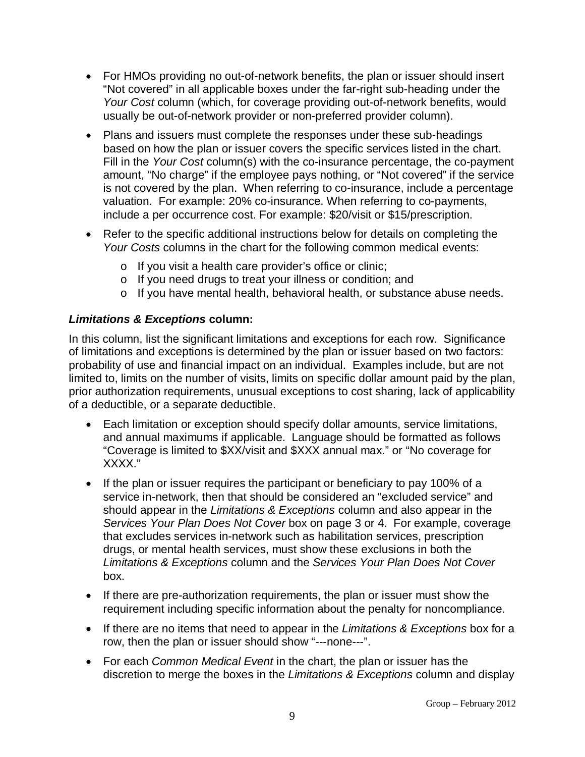- For HMOs providing no out-of-network benefits, the plan or issuer should insert "Not covered" in all applicable boxes under the far-right sub-heading under the *Your Cost* column (which, for coverage providing out-of-network benefits, would usually be out-of-network provider or non-preferred provider column).
- Plans and issuers must complete the responses under these sub-headings based on how the plan or issuer covers the specific services listed in the chart. Fill in the *Your Cost* column(s) with the co-insurance percentage, the co-payment amount, "No charge" if the employee pays nothing, or "Not covered" if the service is not covered by the plan. When referring to co-insurance, include a percentage valuation. For example: 20% co-insurance. When referring to co-payments, include a per occurrence cost. For example: \$20/visit or \$15/prescription.
- Refer to the specific additional instructions below for details on completing the *Your Costs* columns in the chart for the following common medical events:
	- o If you visit a health care provider's office or clinic;
	- o If you need drugs to treat your illness or condition; and
	- o If you have mental health, behavioral health, or substance abuse needs.

## *Limitations & Exceptions* **column:**

In this column, list the significant limitations and exceptions for each row. Significance of limitations and exceptions is determined by the plan or issuer based on two factors: probability of use and financial impact on an individual. Examples include, but are not limited to, limits on the number of visits, limits on specific dollar amount paid by the plan, prior authorization requirements, unusual exceptions to cost sharing, lack of applicability of a deductible, or a separate deductible.

- Each limitation or exception should specify dollar amounts, service limitations, and annual maximums if applicable. Language should be formatted as follows "Coverage is limited to \$XX/visit and \$XXX annual max." or "No coverage for XXXX."
- If the plan or issuer requires the participant or beneficiary to pay 100% of a service in-network, then that should be considered an "excluded service" and should appear in the *Limitations & Exceptions* column and also appear in the *Services Your Plan Does Not Cover* box on page 3 or 4. For example, coverage that excludes services in-network such as habilitation services, prescription drugs, or mental health services, must show these exclusions in both the *Limitations & Exceptions* column and the *Services Your Plan Does Not Cover* box.
- If there are pre-authorization requirements, the plan or issuer must show the requirement including specific information about the penalty for noncompliance.
- If there are no items that need to appear in the *Limitations & Exceptions* box for a row, then the plan or issuer should show "---none---".
- For each *Common Medical Event* in the chart, the plan or issuer has the discretion to merge the boxes in the *Limitations & Exceptions* column and display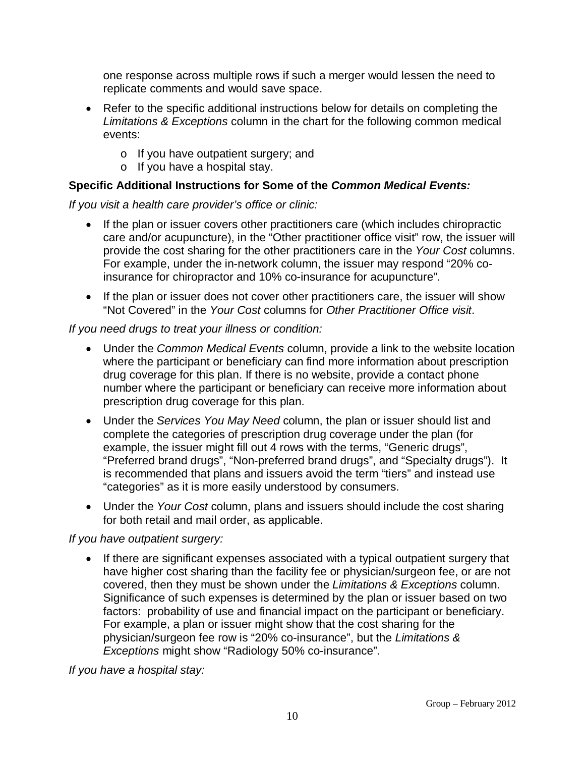one response across multiple rows if such a merger would lessen the need to replicate comments and would save space.

- Refer to the specific additional instructions below for details on completing the *Limitations & Exceptions* column in the chart for the following common medical events:
	- o If you have outpatient surgery; and
	- o If you have a hospital stay.

## **Specific Additional Instructions for Some of the** *Common Medical Events:*

*If you visit a health care provider's office or clinic:*

- If the plan or issuer covers other practitioners care (which includes chiropractic care and/or acupuncture), in the "Other practitioner office visit" row, the issuer will provide the cost sharing for the other practitioners care in the *Your Cost* columns. For example, under the in-network column, the issuer may respond "20% coinsurance for chiropractor and 10% co-insurance for acupuncture".
- If the plan or issuer does not cover other practitioners care, the issuer will show "Not Covered" in the *Your Cost* columns for *Other Practitioner Office visit*.

### *If you need drugs to treat your illness or condition:*

- Under the *Common Medical Events* column, provide a link to the website location where the participant or beneficiary can find more information about prescription drug coverage for this plan. If there is no website, provide a contact phone number where the participant or beneficiary can receive more information about prescription drug coverage for this plan.
- Under the *Services You May Need* column, the plan or issuer should list and complete the categories of prescription drug coverage under the plan (for example, the issuer might fill out 4 rows with the terms, "Generic drugs", "Preferred brand drugs", "Non-preferred brand drugs", and "Specialty drugs"). It is recommended that plans and issuers avoid the term "tiers" and instead use "categories" as it is more easily understood by consumers.
- Under the *Your Cost* column, plans and issuers should include the cost sharing for both retail and mail order, as applicable.

## *If you have outpatient surgery:*

If there are significant expenses associated with a typical outpatient surgery that have higher cost sharing than the facility fee or physician/surgeon fee, or are not covered, then they must be shown under the *Limitations & Exceptions* column. Significance of such expenses is determined by the plan or issuer based on two factors: probability of use and financial impact on the participant or beneficiary. For example, a plan or issuer might show that the cost sharing for the physician/surgeon fee row is "20% co-insurance", but the *Limitations & Exceptions* might show "Radiology 50% co-insurance".

*If you have a hospital stay:*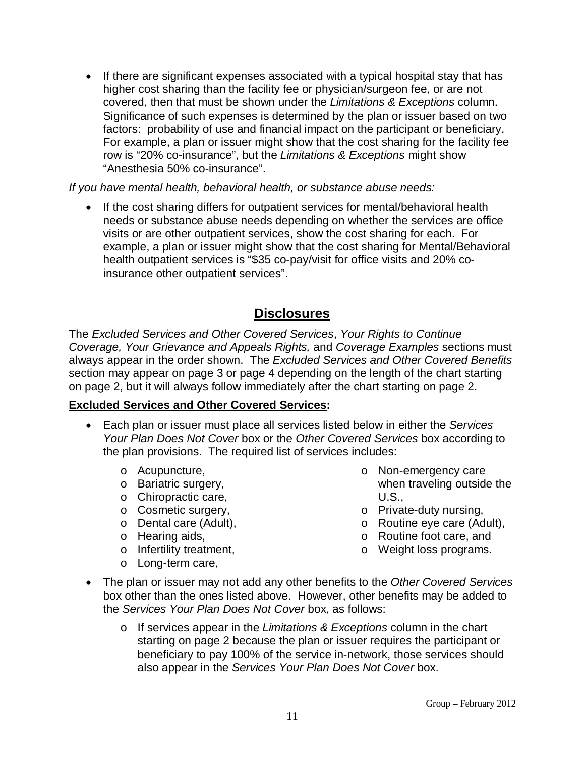• If there are significant expenses associated with a typical hospital stay that has higher cost sharing than the facility fee or physician/surgeon fee, or are not covered, then that must be shown under the *Limitations & Exceptions* column. Significance of such expenses is determined by the plan or issuer based on two factors: probability of use and financial impact on the participant or beneficiary. For example, a plan or issuer might show that the cost sharing for the facility fee row is "20% co-insurance", but the *Limitations & Exceptions* might show "Anesthesia 50% co-insurance".

*If you have mental health, behavioral health, or substance abuse needs:*

• If the cost sharing differs for outpatient services for mental/behavioral health needs or substance abuse needs depending on whether the services are office visits or are other outpatient services, show the cost sharing for each. For example, a plan or issuer might show that the cost sharing for Mental/Behavioral health outpatient services is "\$35 co-pay/visit for office visits and 20% coinsurance other outpatient services".

## **Disclosures**

The *Excluded Services and Other Covered Services*, *Your Rights to Continue Coverage, Your Grievance and Appeals Rights,* and *Coverage Examples* sections must always appear in the order shown. The *Excluded Services and Other Covered Benefits* section may appear on page 3 or page 4 depending on the length of the chart starting on page 2, but it will always follow immediately after the chart starting on page 2.

## **Excluded Services and Other Covered Services:**

- Each plan or issuer must place all services listed below in either the *Services Your Plan Does Not Cover* box or the *Other Covered Services* box according to the plan provisions. The required list of services includes:
	- o Acupuncture,
	- o Bariatric surgery,
	- o Chiropractic care,
	- o Cosmetic surgery,
	- o Dental care (Adult),
	- o Hearing aids,
	- o Infertility treatment,
	- o Long-term care,
- o Non-emergency care when traveling outside the U.S.,
- o Private-duty nursing,
- o Routine eye care (Adult),
- o Routine foot care, and
- o Weight loss programs.
- The plan or issuer may not add any other benefits to the *Other Covered Services* box other than the ones listed above. However, other benefits may be added to the *Services Your Plan Does Not Cover* box, as follows:
	- o If services appear in the *Limitations & Exceptions* column in the chart starting on page 2 because the plan or issuer requires the participant or beneficiary to pay 100% of the service in-network, those services should also appear in the *Services Your Plan Does Not Cover* box.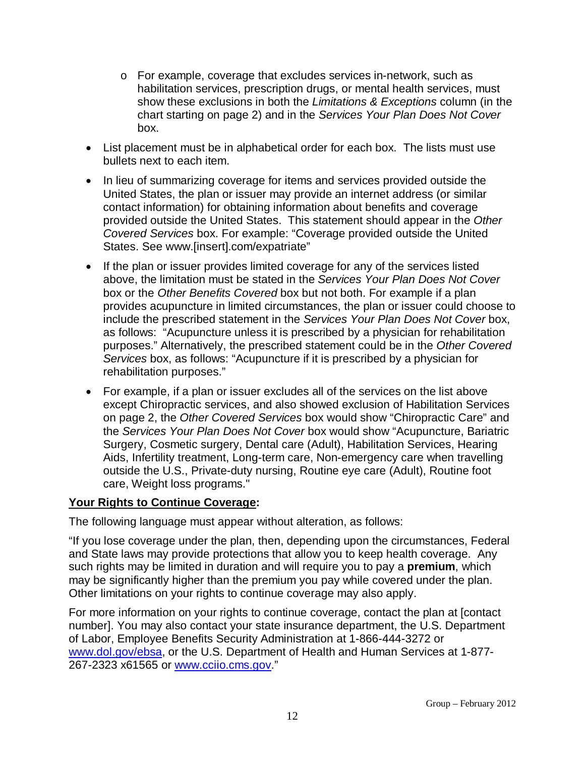- o For example, coverage that excludes services in-network, such as habilitation services, prescription drugs, or mental health services, must show these exclusions in both the *Limitations & Exceptions* column (in the chart starting on page 2) and in the *Services Your Plan Does Not Cover* box.
- List placement must be in alphabetical order for each box. The lists must use bullets next to each item.
- In lieu of summarizing coverage for items and services provided outside the United States, the plan or issuer may provide an internet address (or similar contact information) for obtaining information about benefits and coverage provided outside the United States. This statement should appear in the *Other Covered Services* box. For example: "Coverage provided outside the United States. See www.[insert].com/expatriate"
- If the plan or issuer provides limited coverage for any of the services listed above, the limitation must be stated in the *Services Your Plan Does Not Cover*  box or the *Other Benefits Covered* box but not both. For example if a plan provides acupuncture in limited circumstances, the plan or issuer could choose to include the prescribed statement in the *Services Your Plan Does Not Cover* box, as follows: "Acupuncture unless it is prescribed by a physician for rehabilitation purposes." Alternatively, the prescribed statement could be in the *Other Covered Services* box, as follows: "Acupuncture if it is prescribed by a physician for rehabilitation purposes."
- For example, if a plan or issuer excludes all of the services on the list above except Chiropractic services, and also showed exclusion of Habilitation Services on page 2, the *Other Covered Services* box would show "Chiropractic Care" and the *Services Your Plan Does Not Cover* box would show "Acupuncture, Bariatric Surgery, Cosmetic surgery, Dental care (Adult), Habilitation Services, Hearing Aids, Infertility treatment, Long-term care, Non-emergency care when travelling outside the U.S., Private-duty nursing, Routine eye care (Adult), Routine foot care, Weight loss programs."

## **Your Rights to Continue Coverage:**

The following language must appear without alteration, as follows:

"If you lose coverage under the plan, then, depending upon the circumstances, Federal and State laws may provide protections that allow you to keep health coverage. Any such rights may be limited in duration and will require you to pay a **premium**, which may be significantly higher than the premium you pay while covered under the plan. Other limitations on your rights to continue coverage may also apply.

For more information on your rights to continue coverage, contact the plan at [contact number]. You may also contact your state insurance department, the U.S. Department of Labor, Employee Benefits Security Administration at 1-866-444-3272 or [www.dol.gov/ebsa,](http://www.dol.gov/ebsa) or the U.S. Department of Health and Human Services at 1-877- 267-2323 x61565 or [www.cciio.cms.gov.](http://www.cciio.cms.gov/)"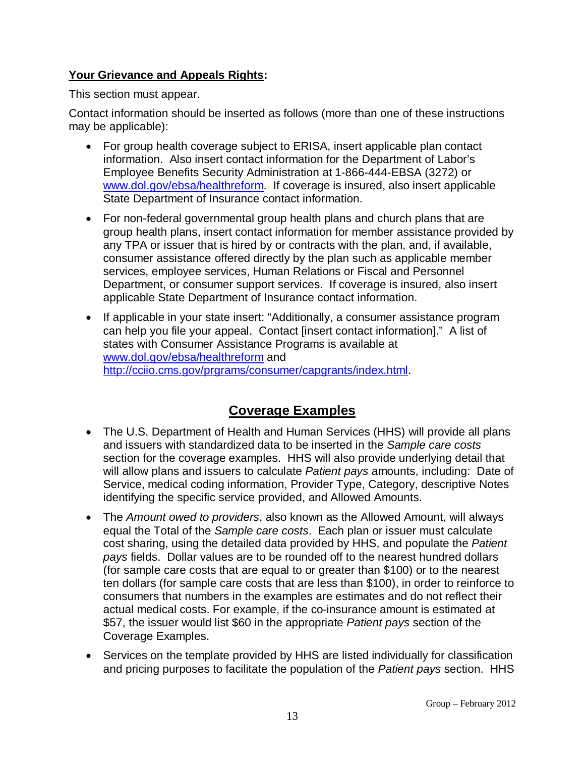## **Your Grievance and Appeals Rights:**

This section must appear.

Contact information should be inserted as follows (more than one of these instructions may be applicable):

- For group health coverage subject to ERISA, insert applicable plan contact information. Also insert contact information for the Department of Labor's Employee Benefits Security Administration at 1-866-444-EBSA (3272) or [www.dol.gov/ebsa/healthreform.](http://www.dol.gov/ebsa/healthreform) If coverage is insured, also insert applicable State Department of Insurance contact information.
- For non-federal governmental group health plans and church plans that are group health plans, insert contact information for member assistance provided by any TPA or issuer that is hired by or contracts with the plan, and, if available, consumer assistance offered directly by the plan such as applicable member services, employee services, Human Relations or Fiscal and Personnel Department, or consumer support services. If coverage is insured, also insert applicable State Department of Insurance contact information.
- If applicable in your state insert: "Additionally, a consumer assistance program can help you file your appeal. Contact [insert contact information]." A list of states with Consumer Assistance Programs is available at [www.dol.gov/ebsa/healthreform](http://www.dol.gov/ebsa/healthreform) and [http://cciio.cms.gov/prgrams/consumer/capgrants/index.html.](http://cciio.cms.gov/prgrams/consumer/capgrants/index.html)

# **Coverage Examples**

- The U.S. Department of Health and Human Services (HHS) will provide all plans and issuers with standardized data to be inserted in the *Sample care costs* section for the coverage examples. HHS will also provide underlying detail that will allow plans and issuers to calculate *Patient pays* amounts, including: Date of Service, medical coding information, Provider Type, Category, descriptive Notes identifying the specific service provided, and Allowed Amounts.
- The *Amount owed to providers*, also known as the Allowed Amount, will always equal the Total of the *Sample care costs*. Each plan or issuer must calculate cost sharing, using the detailed data provided by HHS, and populate the *Patient pays* fields. Dollar values are to be rounded off to the nearest hundred dollars (for sample care costs that are equal to or greater than \$100) or to the nearest ten dollars (for sample care costs that are less than \$100), in order to reinforce to consumers that numbers in the examples are estimates and do not reflect their actual medical costs. For example, if the co-insurance amount is estimated at \$57, the issuer would list \$60 in the appropriate *Patient pays* section of the Coverage Examples.
- Services on the template provided by HHS are listed individually for classification and pricing purposes to facilitate the population of the *Patient pays* section. HHS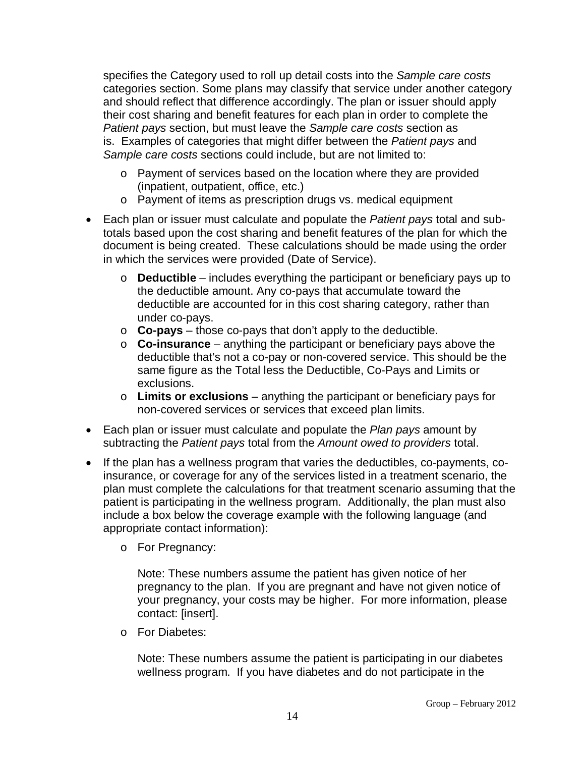specifies the Category used to roll up detail costs into the *Sample care costs* categories section. Some plans may classify that service under another category and should reflect that difference accordingly. The plan or issuer should apply their cost sharing and benefit features for each plan in order to complete the *Patient pays* section, but must leave the *Sample care costs* section as is. Examples of categories that might differ between the *Patient pays* and *Sample care costs* sections could include, but are not limited to:

- o Payment of services based on the location where they are provided (inpatient, outpatient, office, etc.)
- o Payment of items as prescription drugs vs. medical equipment
- Each plan or issuer must calculate and populate the *Patient pays* total and subtotals based upon the cost sharing and benefit features of the plan for which the document is being created. These calculations should be made using the order in which the services were provided (Date of Service).
	- o **Deductible** includes everything the participant or beneficiary pays up to the deductible amount. Any co-pays that accumulate toward the deductible are accounted for in this cost sharing category, rather than under co-pays.
	- o **Co-pays** those co-pays that don't apply to the deductible.
	- o **Co-insurance** anything the participant or beneficiary pays above the deductible that's not a co-pay or non-covered service. This should be the same figure as the Total less the Deductible, Co-Pays and Limits or exclusions.
	- o **Limits or exclusions** anything the participant or beneficiary pays for non-covered services or services that exceed plan limits.
- Each plan or issuer must calculate and populate the *Plan pays* amount by subtracting the *Patient pays* total from the *Amount owed to providers* total.
- If the plan has a wellness program that varies the deductibles, co-payments, coinsurance, or coverage for any of the services listed in a treatment scenario, the plan must complete the calculations for that treatment scenario assuming that the patient is participating in the wellness program. Additionally, the plan must also include a box below the coverage example with the following language (and appropriate contact information):
	- o For Pregnancy:

Note: These numbers assume the patient has given notice of her pregnancy to the plan. If you are pregnant and have not given notice of your pregnancy, your costs may be higher. For more information, please contact: [insert].

o For Diabetes:

Note: These numbers assume the patient is participating in our diabetes wellness program. If you have diabetes and do not participate in the